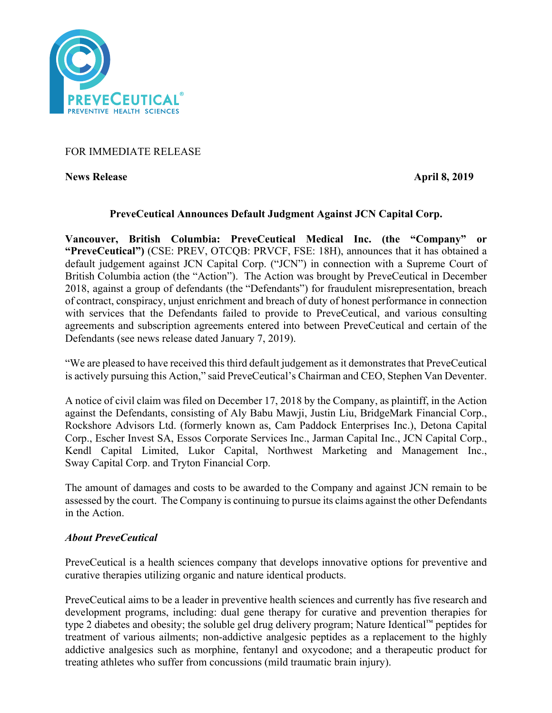

# FOR IMMEDIATE RELEASE

**News Release** April 8, 2019

# **PreveCeutical Announces Default Judgment Against JCN Capital Corp.**

**Vancouver, British Columbia: PreveCeutical Medical Inc. (the "Company" or "PreveCeutical")** (CSE: PREV, OTCQB: PRVCF, FSE: 18H), announces that it has obtained a default judgement against JCN Capital Corp. ("JCN") in connection with a Supreme Court of British Columbia action (the "Action"). The Action was brought by PreveCeutical in December 2018, against a group of defendants (the "Defendants") for fraudulent misrepresentation, breach of contract, conspiracy, unjust enrichment and breach of duty of honest performance in connection with services that the Defendants failed to provide to PreveCeutical, and various consulting agreements and subscription agreements entered into between PreveCeutical and certain of the Defendants (see news release dated January 7, 2019).

"We are pleased to have received this third default judgement as it demonstrates that PreveCeutical is actively pursuing this Action," said PreveCeutical's Chairman and CEO, Stephen Van Deventer.

A notice of civil claim was filed on December 17, 2018 by the Company, as plaintiff, in the Action against the Defendants, consisting of Aly Babu Mawji, Justin Liu, BridgeMark Financial Corp., Rockshore Advisors Ltd. (formerly known as, Cam Paddock Enterprises Inc.), Detona Capital Corp., Escher Invest SA, Essos Corporate Services Inc., Jarman Capital Inc., JCN Capital Corp., Kendl Capital Limited, Lukor Capital, Northwest Marketing and Management Inc., Sway Capital Corp. and Tryton Financial Corp.

The amount of damages and costs to be awarded to the Company and against JCN remain to be assessed by the court. The Company is continuing to pursue its claims against the other Defendants in the Action.

## *About PreveCeutical*

PreveCeutical is a health sciences company that develops innovative options for preventive and curative therapies utilizing organic and nature identical products.

PreveCeutical aims to be a leader in preventive health sciences and currently has five research and development programs, including: dual gene therapy for curative and prevention therapies for type 2 diabetes and obesity; the soluble gel drug delivery program; Nature Identical™ peptides for treatment of various ailments; non-addictive analgesic peptides as a replacement to the highly addictive analgesics such as morphine, fentanyl and oxycodone; and a therapeutic product for treating athletes who suffer from concussions (mild traumatic brain injury).